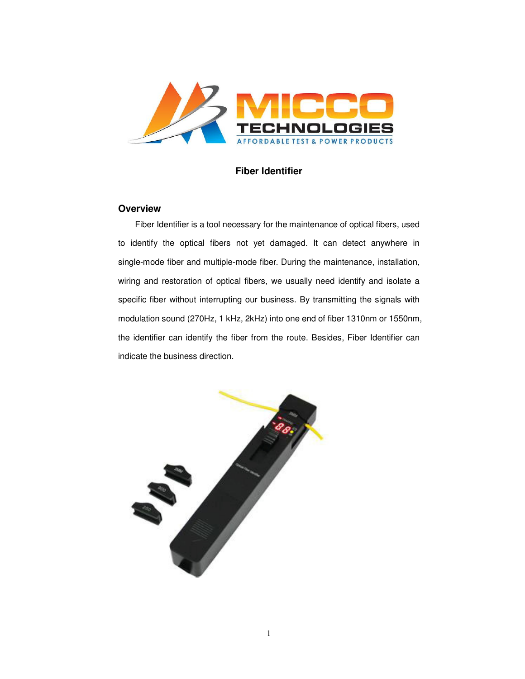

## **Fiber Identifier**

## **Overview**

Fiber Identifier is a tool necessary for the maintenance of optical fibers, used to identify the optical fibers not yet damaged. It can detect anywhere in single-mode fiber and multiple-mode fiber. During the maintenance, installation, wiring and restoration of optical fibers, we usually need identify and isolate a specific fiber without interrupting our business. By transmitting the signals with modulation sound (270Hz, 1 kHz, 2kHz) into one end of fiber 1310nm or 1550nm, the identifier can identify the fiber from the route. Besides, Fiber Identifier can indicate the business direction.